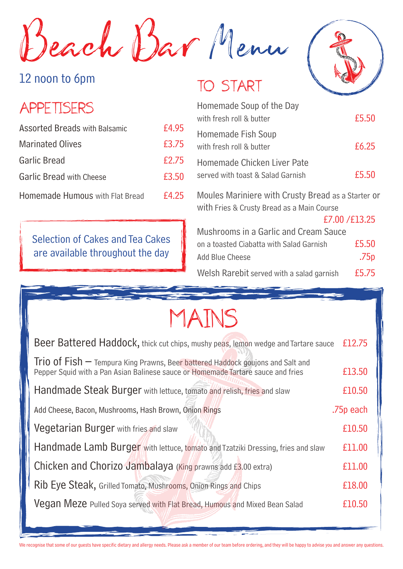Beach Bar Menu

#### 12 noon to 6pm

#### APPETISERS

| <b>Assorted Breads with Balsamic</b> | £4.95 |
|--------------------------------------|-------|
| <b>Marinated Olives</b>              | £3.75 |
| Garlic Bread                         | £2.75 |
| <b>Garlic Bread with Cheese</b>      | £3.50 |
| Homemade Humous with Flat Bread      | £4.25 |

Selection of Cakes and Tea Cakes are available throughout the day

#### TO START



| Homemade Soup of the Day<br>with fresh roll & butter             | £5.50 |
|------------------------------------------------------------------|-------|
| Homemade Fish Soup<br>with fresh roll & butter                   | £6.25 |
| Homemade Chicken Liver Pate<br>served with toast & Salad Garnish | £5.50 |

Moules Mariniere with Crusty Bread as a Starter or with Fries & Crusty Bread as a Main Course

£7.00 /£13.25

| Mushrooms in a Garlic and Cream Sauce     |                  |
|-------------------------------------------|------------------|
| on a toasted Ciabatta with Salad Garnish  | £5.50            |
| Add Blue Cheese                           | .75 <sub>p</sub> |
| Welsh Rarebit served with a salad garnish | £5.75            |

# MAINS

| Beer Battered Haddock, thick cut chips, mushy peas, lemon wedge and Tartare sauce                                                                                    |           |  |
|----------------------------------------------------------------------------------------------------------------------------------------------------------------------|-----------|--|
| Trio of $Fish$ – Tempura King Prawns, Beer battered Haddock goujons and Salt and<br>Pepper Squid with a Pan Asian Balinese sauce or Homemade Tartare sauce and fries | £13.50    |  |
| Handmade Steak Burger with lettuce, tomato and relish, fries and slaw                                                                                                | £10.50    |  |
| Add Cheese, Bacon, Mushrooms, Hash Brown, Onion Rings                                                                                                                | .75p each |  |
| Vegetarian Burger with fries and slaw                                                                                                                                |           |  |
| Handmade Lamb Burger with lettuce, tomato and Tzatziki Dressing, fries and slaw                                                                                      |           |  |
| Chicken and Chorizo Jambalaya (King prawns add £3.00 extra)                                                                                                          |           |  |
| Rib Eye Steak, Grilled Tomato, Mushrooms, Onion Rings and Chips                                                                                                      |           |  |
| Vegan Meze Pulled Soya served with Flat Bread, Humous and Mixed Bean Salad                                                                                           | £10.50    |  |